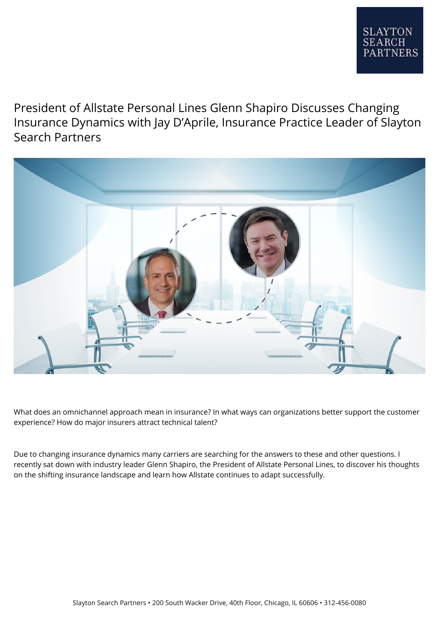President of Allstate Personal Lines Glenn Shapiro Discusses Changing Insurance Dynamics with Jay D'Aprile, Insurance Practice Leader of Slayton Search Partners



What does an omnichannel approach mean in insurance? In what ways can organizations better support the customer experience? How do major insurers attract technical talent?

Due to changing insurance dynamics many carriers are searching for the answers to these and other questions. I recently sat down with industry leader Glenn Shapiro, the President of Allstate Personal Lines, to discover his thoughts on the shifting insurance landscape and learn how Allstate continues to adapt successfully.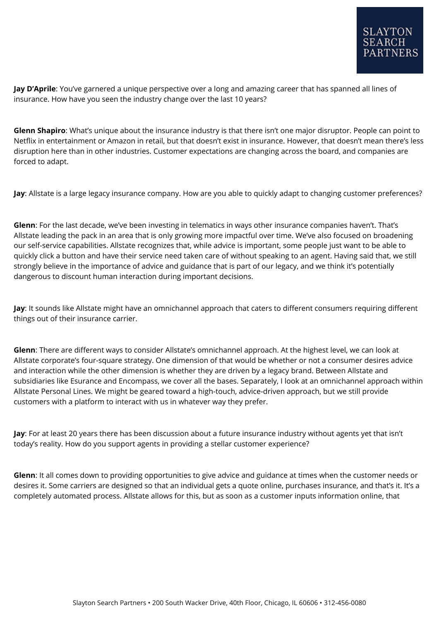**Jay D'Aprile**: You've garnered a unique perspective over a long and amazing career that has spanned all lines of insurance. How have you seen the industry change over the last 10 years?

**Glenn Shapiro**: What's unique about the insurance industry is that there isn't one major disruptor. People can point to Netflix in entertainment or Amazon in retail, but that doesn't exist in insurance. However, that doesn't mean there's less disruption here than in other industries. Customer expectations are changing across the board, and companies are forced to adapt.

**Jay**: Allstate is a large legacy insurance company. How are you able to quickly adapt to changing customer preferences?

**Glenn**: For the last decade, we've been investing in telematics in ways other insurance companies haven't. That's Allstate leading the pack in an area that is only growing more impactful over time. We've also focused on broadening our self-service capabilities. Allstate recognizes that, while advice is important, some people just want to be able to quickly click a button and have their service need taken care of without speaking to an agent. Having said that, we still strongly believe in the importance of advice and guidance that is part of our legacy, and we think it's potentially dangerous to discount human interaction during important decisions.

**Jay**: It sounds like Allstate might have an omnichannel approach that caters to different consumers requiring different things out of their insurance carrier.

**Glenn**: There are different ways to consider Allstate's omnichannel approach. At the highest level, we can look at Allstate corporate's four-square strategy. One dimension of that would be whether or not a consumer desires advice and interaction while the other dimension is whether they are driven by a legacy brand. Between Allstate and subsidiaries like Esurance and Encompass, we cover all the bases. Separately, I look at an omnichannel approach within Allstate Personal Lines. We might be geared toward a high-touch, advice-driven approach, but we still provide customers with a platform to interact with us in whatever way they prefer.

**Jay**: For at least 20 years there has been discussion about a future insurance industry without agents yet that isn't today's reality. How do you support agents in providing a stellar customer experience?

**Glenn**: It all comes down to providing opportunities to give advice and guidance at times when the customer needs or desires it. Some carriers are designed so that an individual gets a quote online, purchases insurance, and that's it. It's a completely automated process. Allstate allows for this, but as soon as a customer inputs information online, that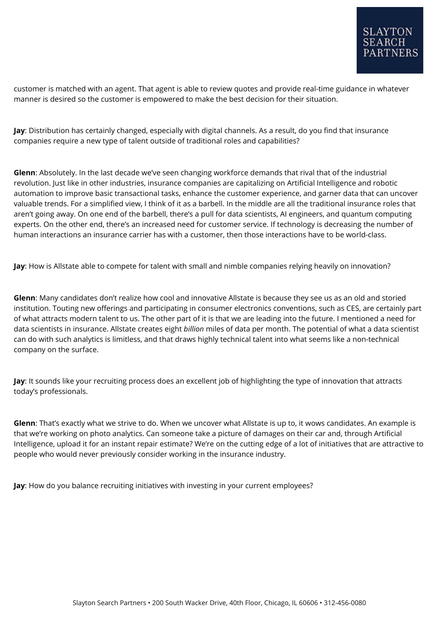customer is matched with an agent. That agent is able to review quotes and provide real-time guidance in whatever manner is desired so the customer is empowered to make the best decision for their situation.

**Jay**: Distribution has certainly changed, especially with digital channels. As a result, do you find that insurance companies require a new type of talent outside of traditional roles and capabilities?

**Glenn**: Absolutely. In the last decade we've seen changing workforce demands that rival that of the industrial revolution. Just like in other industries, insurance companies are capitalizing on Artificial Intelligence and robotic automation to improve basic transactional tasks, enhance the customer experience, and garner data that can uncover valuable trends. For a simplified view, I think of it as a barbell. In the middle are all the traditional insurance roles that aren't going away. On one end of the barbell, there's a pull for data scientists, AI engineers, and quantum computing experts. On the other end, there's an increased need for customer service. If technology is decreasing the number of human interactions an insurance carrier has with a customer, then those interactions have to be world-class.

**Jay**: How is Allstate able to compete for talent with small and nimble companies relying heavily on innovation?

**Glenn**: Many candidates don't realize how cool and innovative Allstate is because they see us as an old and storied institution. Touting new offerings and participating in consumer electronics conventions, such as CES, are certainly part of what attracts modern talent to us. The other part of it is that we are leading into the future. I mentioned a need for data scientists in insurance. Allstate creates eight *billion* miles of data per month. The potential of what a data scientist can do with such analytics is limitless, and that draws highly technical talent into what seems like a non-technical company on the surface.

**Jay**: It sounds like your recruiting process does an excellent job of highlighting the type of innovation that attracts today's professionals.

**Glenn**: That's exactly what we strive to do. When we uncover what Allstate is up to, it wows candidates. An example is that we're working on photo analytics. Can someone take a picture of damages on their car and, through Artificial Intelligence, upload it for an instant repair estimate? We're on the cutting edge of a lot of initiatives that are attractive to people who would never previously consider working in the insurance industry.

**Jay**: How do you balance recruiting initiatives with investing in your current employees?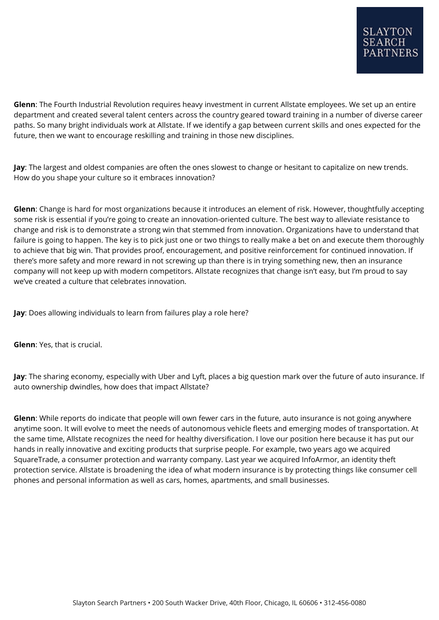**Glenn**: The Fourth Industrial Revolution requires heavy investment in current Allstate employees. We set up an entire department and created several talent centers across the country geared toward training in a number of diverse career paths. So many bright individuals work at Allstate. If we identify a gap between current skills and ones expected for the future, then we want to encourage reskilling and training in those new disciplines.

**Jay**: The largest and oldest companies are often the ones slowest to change or hesitant to capitalize on new trends. How do you shape your culture so it embraces innovation?

**Glenn**: Change is hard for most organizations because it introduces an element of risk. However, thoughtfully accepting some risk is essential if you're going to create an innovation-oriented culture. The best way to alleviate resistance to change and risk is to demonstrate a strong win that stemmed from innovation. Organizations have to understand that failure is going to happen. The key is to pick just one or two things to really make a bet on and execute them thoroughly to achieve that big win. That provides proof, encouragement, and positive reinforcement for continued innovation. If there's more safety and more reward in not screwing up than there is in trying something new, then an insurance company will not keep up with modern competitors. Allstate recognizes that change isn't easy, but I'm proud to say we've created a culture that celebrates innovation.

**Jay**: Does allowing individuals to learn from failures play a role here?

**Glenn**: Yes, that is crucial.

**Jay**: The sharing economy, especially with Uber and Lyft, places a big question mark over the future of auto insurance. If auto ownership dwindles, how does that impact Allstate?

**Glenn**: While reports do indicate that people will own fewer cars in the future, auto insurance is not going anywhere anytime soon. It will evolve to meet the needs of autonomous vehicle fleets and emerging modes of transportation. At the same time, Allstate recognizes the need for healthy diversification. I love our position here because it has put our hands in really innovative and exciting products that surprise people. For example, two years ago we acquired SquareTrade, a consumer protection and warranty company. Last year we acquired InfoArmor, an identity theft protection service. Allstate is broadening the idea of what modern insurance is by protecting things like consumer cell phones and personal information as well as cars, homes, apartments, and small businesses.